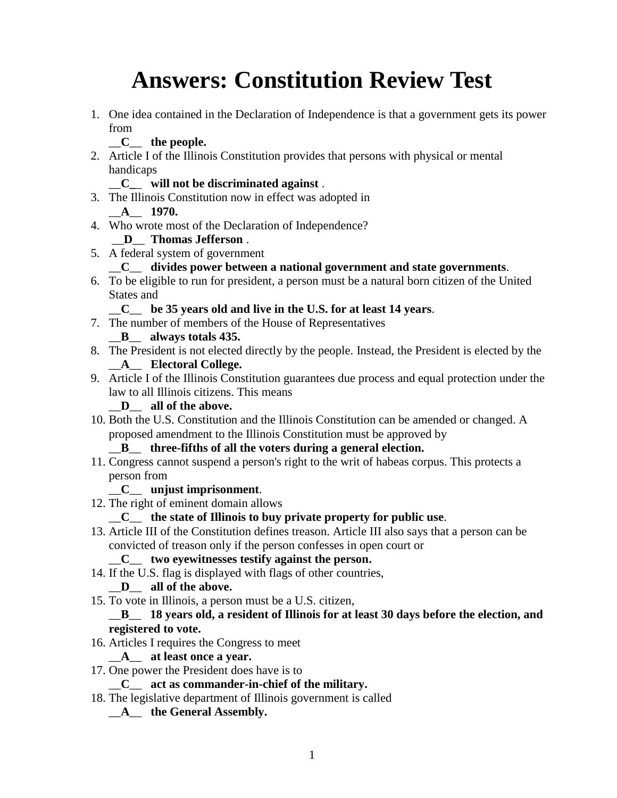# **Answers: Constitution Review Test**

1. One idea contained in the Declaration of Independence is that a government gets its power from

## \_\_**C**\_\_ **the people.**

2. Article I of the Illinois Constitution provides that persons with physical or mental handicaps

#### \_\_**C\_**\_ **will not be discriminated against** .

- 3. The Illinois Constitution now in effect was adopted in \_\_**A**\_\_ **1970.**
- 4. Who wrote most of the Declaration of Independence?

## \_\_**D**\_\_ **Thomas Jefferson** .

5. A federal system of government

#### \_\_**C**\_\_ **divides power between a national government and state governments**.

6. To be eligible to run for president, a person must be a natural born citizen of the United States and

#### \_\_**C**\_\_ **be 35 years old and live in the U.S. for at least 14 years**.

7. The number of members of the House of Representatives

## \_\_**B**\_\_ **always totals 435.**

- 8. The President is not elected directly by the people. Instead, the President is elected by the \_\_**A**\_\_ **Electoral College.**
- 9. Article I of the Illinois Constitution guarantees due process and equal protection under the law to all Illinois citizens. This means

#### \_\_**D**\_\_ **all of the above.**

10. Both the U.S. Constitution and the Illinois Constitution can be amended or changed. A proposed amendment to the Illinois Constitution must be approved by

#### \_\_**B**\_\_ **three-fifths of all the voters during a general election.**

11. Congress cannot suspend a person's right to the writ of habeas corpus. This protects a person from

#### \_\_**C**\_\_ **unjust imprisonment**.

12. The right of eminent domain allows

## \_\_**C**\_\_ **the state of Illinois to buy private property for public use**.

13. Article III of the Constitution defines treason. Article III also says that a person can be convicted of treason only if the person confesses in open court or

## \_\_**C**\_\_ **two eyewitnesses testify against the person.**

14. If the U.S. flag is displayed with flags of other countries,

## \_\_**D**\_\_ **all of the above.**

15. To vote in Illinois, a person must be a U.S. citizen,

#### \_\_**B**\_\_ **18 years old, a resident of Illinois for at least 30 days before the election, and registered to vote.**

16. Articles I requires the Congress to meet

## \_\_**A**\_\_ **at least once a year.**

17. One power the President does have is to

#### \_\_**C**\_\_ **act as commander-in-chief of the military.**

18. The legislative department of Illinois government is called

## \_\_**A**\_\_ **the General Assembly.**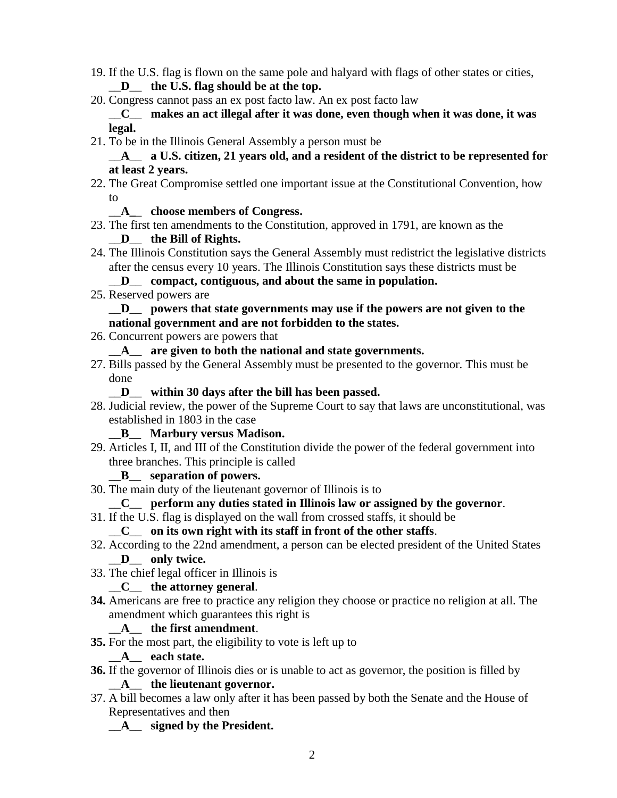- 19. If the U.S. flag is flown on the same pole and halyard with flags of other states or cities, \_\_**D**\_\_ **the U.S. flag should be at the top.**
- 20. Congress cannot pass an ex post facto law. An ex post facto law \_\_**C**\_\_ **makes an act illegal after it was done, even though when it was done, it was legal.**
- 21. To be in the Illinois General Assembly a person must be

#### \_\_**A**\_\_ **a U.S. citizen, 21 years old, and a resident of the district to be represented for at least 2 years.**

22. The Great Compromise settled one important issue at the Constitutional Convention, how to

## \_\_**A\_**\_ **choose members of Congress.**

23. The first ten amendments to the Constitution, approved in 1791, are known as the

## \_\_**D**\_\_ **the Bill of Rights.**

24. The Illinois Constitution says the General Assembly must redistrict the legislative districts after the census every 10 years. The Illinois Constitution says these districts must be

#### \_\_**D**\_\_ **compact, contiguous, and about the same in population.**

25. Reserved powers are

#### \_\_**D**\_\_ **powers that state governments may use if the powers are not given to the national government and are not forbidden to the states.**

- 26. Concurrent powers are powers that
	- \_\_**A**\_\_ **are given to both the national and state governments.**
- 27. Bills passed by the General Assembly must be presented to the governor. This must be done

#### \_\_**D**\_\_ **within 30 days after the bill has been passed.**

28. Judicial review, the power of the Supreme Court to say that laws are unconstitutional, was established in 1803 in the case

#### \_\_**B**\_\_ **Marbury versus Madison.**

29. Articles I, II, and III of the Constitution divide the power of the federal government into three branches. This principle is called

## \_\_**B**\_\_ **separation of powers.**

30. The main duty of the lieutenant governor of Illinois is to

## \_\_**C**\_\_ **perform any duties stated in Illinois law or assigned by the governor**.

- 31. If the U.S. flag is displayed on the wall from crossed staffs, it should be \_\_**C**\_\_ **on its own right with its staff in front of the other staffs**.
- 32. According to the 22nd amendment, a person can be elected president of the United States \_\_**D**\_\_ **only twice.**
- 33. The chief legal officer in Illinois is

## \_\_**C**\_\_ **the attorney general**.

**34.** Americans are free to practice any religion they choose or practice no religion at all. The amendment which guarantees this right is

# \_\_**A**\_\_ **the first amendment**.

**35.** For the most part, the eligibility to vote is left up to

## \_\_**A**\_\_ **each state.**

**36.** If the governor of Illinois dies or is unable to act as governor, the position is filled by

## \_\_**A**\_\_ **the lieutenant governor.**

37. A bill becomes a law only after it has been passed by both the Senate and the House of Representatives and then

# \_\_**A**\_\_ **signed by the President.**